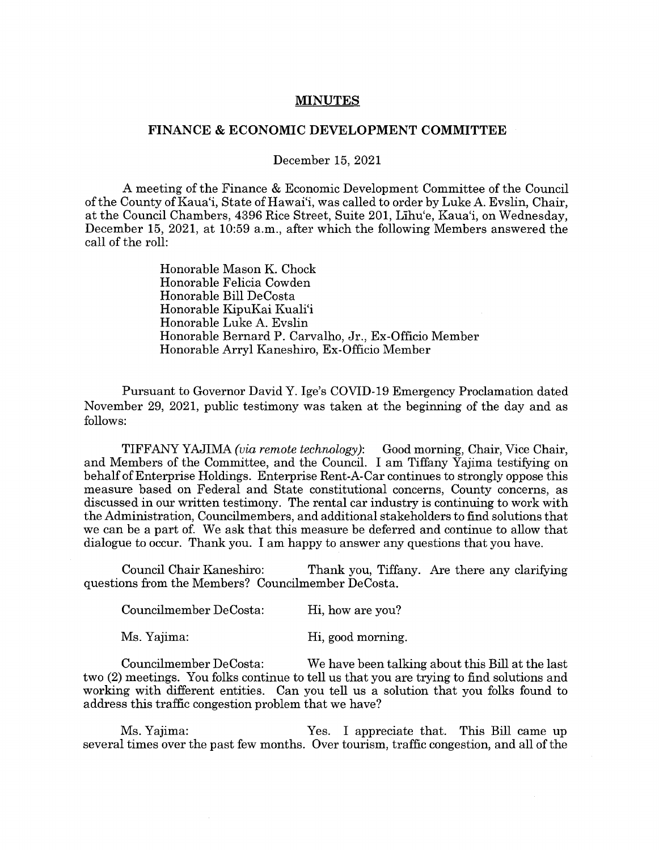## **MINUTES**

## **FINANCE** & **ECONOMIC DEVELOPMENT COMMITTEE**

December 15, 2021

A meeting of the Finance & Economic Development Committee of the Council of the County of Kaua'i, State of Hawai'i, was called to order by Luke A. Evslin, Chair, at the Council Chambers, 4396 Rice Street, Suite 201, Lihu'e, Kaua'i, on Wednesday, December 15, 2021, at 10:59 a.m., after which the following Members answered the call of the roll:

> Honorable Mason K. Chock Honorable Felicia Cowden Honorable Bill DeCosta Honorable KipuKai Kuali'i Honorable Luke A. Evslin Honorable Bernard P. Carvalho, Jr., Ex-Officio Member Honorable Arryl Kaneshiro, Ex-Officio Member

Pursuant to Governor David Y. lge's COVID-19 Emergency Proclamation dated November 29, 2021, public testimony was taken at the beginning of the day and as follows:

TIFFANY YAJIMA *(via remote technology):* Good morning, Chair, Vice Chair, and Members of the Committee, and the Council. I am Tiffany Yajima testifying on behalf of Enterprise Holdings. Enterprise Rent-A-Car continues to strongly oppose this measure based on Federal and State constitutional concerns, County concerns, as discussed in our written testimony. The rental car industry is continuing to work with the Administration, Councilmembers, and additional stakeholders to find solutions that we can be a part of. We ask that this measure be deferred and continue to allow that dialogue to occur. Thank you. I am happy to answer any questions that you have.

Council Chair Kaneshiro: Thank you, Tiffany. Are there any clarifying questions from the Members? Councilmember DeCosta.

| Councilmember DeCosta: | Hi, how are you? |
|------------------------|------------------|
|                        |                  |

Ms. Yajima: Hi, good morning.

Councilmember DeCosta: We have been talking about this Bill at the last two (2) meetings. You folks continue to tell us that you are trying to find solutions and working with different entities. Can you tell us a solution that you folks found to address this traffic congestion problem that we have?

Ms. Yajima:  $Y$ es. I appreciate that. This Bill came up several times over the past few months. Over tourism, traffic congestion, and all of the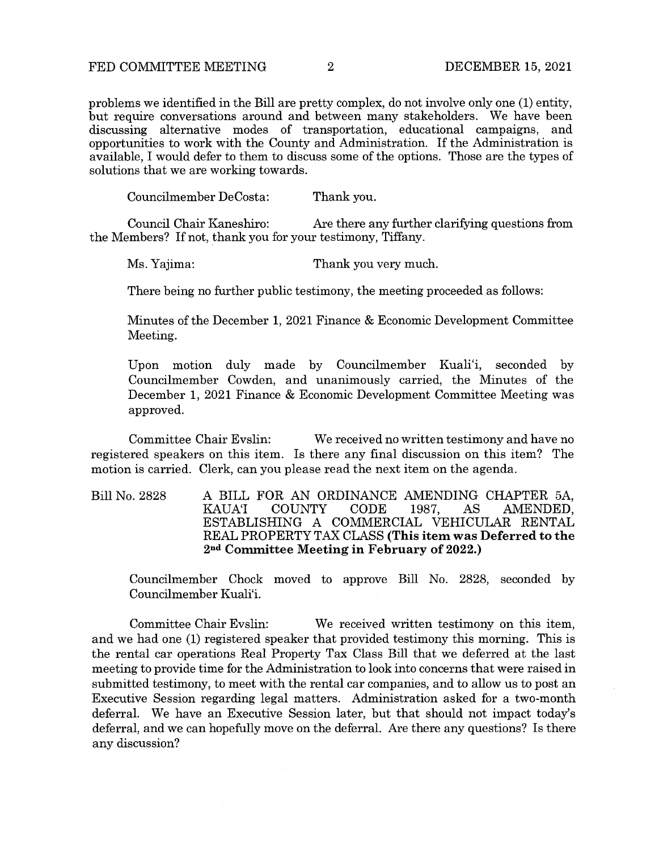problems we identified in the Bill are pretty complex, do not involve only one (1) entity, but require conversations around and between many stakeholders. We have been discussing alternative modes of transportation, educational campaigns, and opportunities to work with the County and Administration. If the Administration is available, I would defer to them to discuss some of the options. Those are the types of solutions that we are working towards.

Councilmember DeCosta: Thank you.

Council Chair Kaneshiro: Are there any further clarifying questions from the Members? If not, thank you for your testimony, Tiffany.

Ms. Yajima: Thank you very much.

There being no further public testimony, the meeting proceeded as follows:

Minutes of the December 1, 2021 Finance & Economic Development Committee Meeting.

Upon motion duly made by Councilmember Kuali'i, seconded by Councilmember Cowden, and unanimously carried, the Minutes of the December 1, 2021 Finance & Economic Development Committee Meeting was approved.

Committee Chair Evslin: We received no written testimony and have no registered speakers on this item. Is there any final discussion on this item? The motion is carried. Clerk, can you please read the next item on the agenda.

Bill No. 2828 A BILL FOR AN ORDINANCE AMENDING CHAPTER 5A,<br>KAUAT COUNTY CODE 1987, AS AMENDED, AMENDED, ESTABLISHING A COMMERCIAL VEHICULAR RENTAL REAL PROPERTY TAX CLASS **(This item was Deferred to the 2nd Committee Meeting in February of 2022.)** 

Councilmember Chock moved to approve Bill No. 2828, seconded by Councilmember Kuali'i.

Committee Chair Evslin: We received written testimony on this item, and we had one (1) registered speaker that provided testimony this morning. This is the rental car operations Real Property Tax Class Bill that we deferred at the last meeting to provide time for the Administration to look into concerns that were raised in submitted testimony, to meet with the rental car companies, and to allow us to post an Executive Session regarding legal matters. Administration asked for a two-month deferral. We have an Executive Session later, but that should not impact today's deferral, and we can hopefully move on the deferral. Are there any questions? Is there any discussion?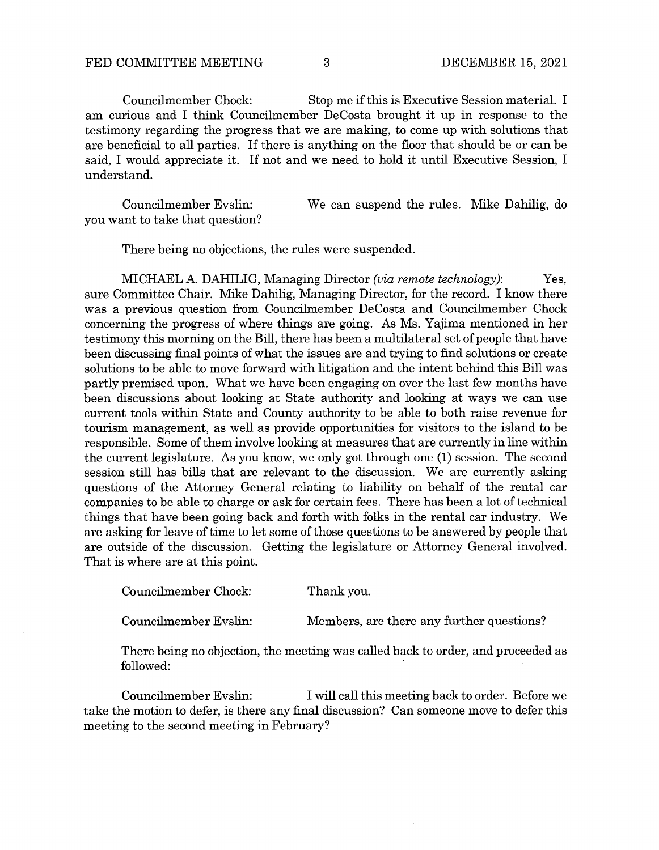Councilmember Chock: Stop me if this is Executive Session material. I am curious and I think Councilmember DeCosta brought it up in response to the testimony regarding the progress that we are making, to come up with solutions that are beneficial to all parties. If there is anything on the floor that should be or can be said, I would appreciate it. If not and we need to hold it until Executive Session, I understand.

Councilmember Evslin: you want to take that question? We can suspend the rules. Mike Dahilig, do

There being no objections, the rules were suspended.

MICHAEL A. DAHILIG, Managing Director *(via remote technology):* Yes, sure Committee Chair. Mike Dahilig, Managing Director, for the record. I know there was a previous question from Councilmember DeCosta and Councilmember Chock concerning the progress of where things are going. As Ms. Yajima mentioned in her testimony this morning on the Bill, there has been a multilateral set of people that have been discussing final points of what the issues are and trying to find solutions or create solutions to be able to move forward with litigation and the intent behind this Bill was partly premised upon. What we have been engaging on over the last few months have been discussions about looking at State authority and looking at ways we can use current tools within State and County authority to be able to both raise revenue for tourism management, as well as provide opportunities for visitors to the island to be responsible. Some of them involve looking at measures that are currently in line within the current legislature. As you know, we only got through one (1) session. The second session still has bills that are relevant to the discussion. We are currently asking questions of the Attorney General relating to liability on behalf of the rental car companies to be able to charge or ask for certain fees. There has been a lot of technical things that have been going back and forth with folks in the rental car industry. We are asking for leave of time to let some of those questions to be answered by people that are outside of the discussion. Getting the legislature or Attorney General involved. That is where are at this point.

Councilmember Chock: Thank you.

Councilmember Evslin: Members, are there any further questions?

There being no objection, the meeting was called back to order, and proceeded as followed:

Councilmember Evslin: I will call this meeting back to order. Before we take the motion to defer, is there any final discussion? Can someone move to defer this meeting to the second meeting in February?